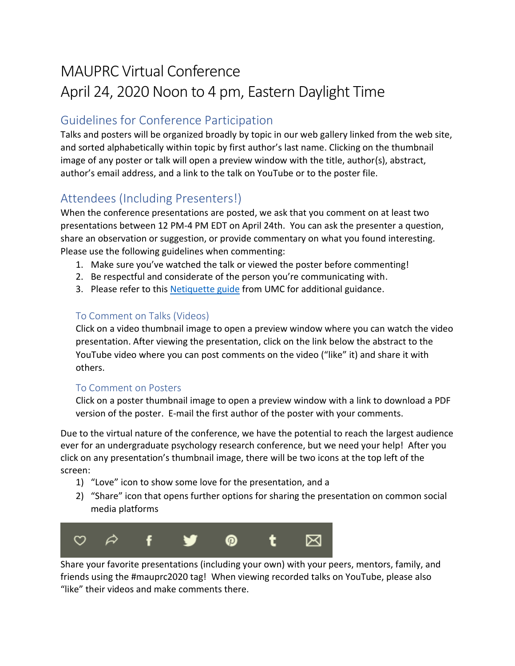# MAUPRC Virtual Conference April 24, 2020 Noon to 4 pm, Eastern Daylight Time

### Guidelines for Conference Participation

Talks and posters will be organized broadly by topic in our web gallery linked from the web site, and sorted alphabetically within topic by first author's last name. Clicking on the thumbnail image of any poster or talk will open a preview window with the title, author(s), abstract, author's email address, and a link to the talk on YouTube or to the poster file.

## Attendees (Including Presenters!)

When the conference presentations are posted, we ask that you comment on at least two presentations between 12 PM-4 PM EDT on April 24th. You can ask the presenter a question, share an observation or suggestion, or provide commentary on what you found interesting. Please use the following guidelines when commenting:

- 1. Make sure you've watched the talk or viewed the poster before commenting!
- 2. Be respectful and considerate of the person you're communicating with.
- 3. Please refer to this [Netiquette guide](https://www.umc.edu/son/files/netiquette-guidelines1.pdf) from UMC for additional guidance.

#### To Comment on Talks (Videos)

Click on a video thumbnail image to open a preview window where you can watch the video presentation. After viewing the presentation, click on the link below the abstract to the YouTube video where you can post comments on the video ("like" it) and share it with others.

#### To Comment on Posters

Click on a poster thumbnail image to open a preview window with a link to download a PDF version of the poster. E-mail the first author of the poster with your comments.

Due to the virtual nature of the conference, we have the potential to reach the largest audience ever for an undergraduate psychology research conference, but we need your help! After you click on any presentation's thumbnail image, there will be two icons at the top left of the screen:

- 1) "Love" icon to show some love for the presentation, and a
- 2) "Share" icon that opens further options for sharing the presentation on common social media platforms



Share your favorite presentations (including your own) with your peers, mentors, family, and friends using the #mauprc2020 tag! When viewing recorded talks on YouTube, please also "like" their videos and make comments there.